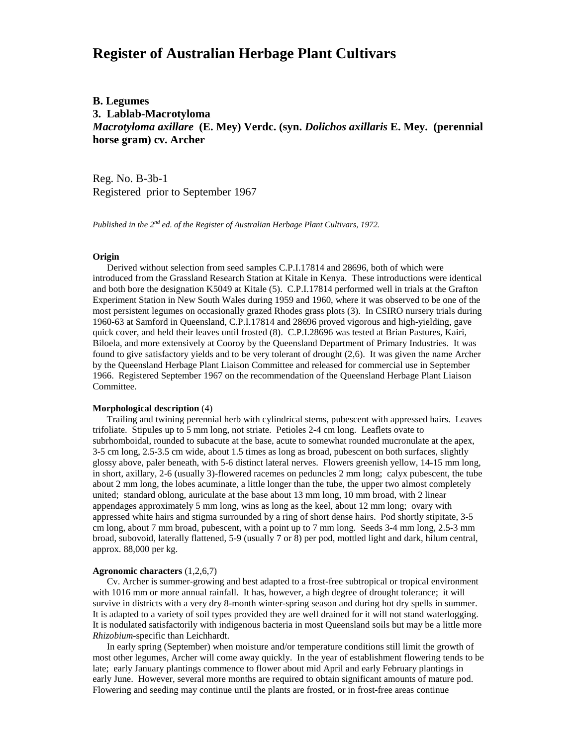# **Register of Australian Herbage Plant Cultivars**

## **B. Legumes 3. Lablab-Macrotyloma** *Macrotyloma axillare* **(E. Mey) Verdc. (syn.** *Dolichos axillaris* **E. Mey. (perennial horse gram) cv. Archer**

Reg. No. B-3b-1 Registered prior to September 1967

*Published in the 2nd ed. of the Register of Australian Herbage Plant Cultivars, 1972.*

#### **Origin**

 Derived without selection from seed samples C.P.I.17814 and 28696, both of which were introduced from the Grassland Research Station at Kitale in Kenya. These introductions were identical and both bore the designation K5049 at Kitale (5). C.P.I.17814 performed well in trials at the Grafton Experiment Station in New South Wales during 1959 and 1960, where it was observed to be one of the most persistent legumes on occasionally grazed Rhodes grass plots (3). In CSIRO nursery trials during 1960-63 at Samford in Queensland, C.P.I.17814 and 28696 proved vigorous and high-yielding, gave quick cover, and held their leaves until frosted (8). C.P.I.28696 was tested at Brian Pastures, Kairi, Biloela, and more extensively at Cooroy by the Queensland Department of Primary Industries. It was found to give satisfactory yields and to be very tolerant of drought (2,6). It was given the name Archer by the Queensland Herbage Plant Liaison Committee and released for commercial use in September 1966. Registered September 1967 on the recommendation of the Queensland Herbage Plant Liaison Committee.

### **Morphological description** (4)

 Trailing and twining perennial herb with cylindrical stems, pubescent with appressed hairs. Leaves trifoliate. Stipules up to 5 mm long, not striate. Petioles 2-4 cm long. Leaflets ovate to subrhomboidal, rounded to subacute at the base, acute to somewhat rounded mucronulate at the apex, 3-5 cm long, 2.5-3.5 cm wide, about 1.5 times as long as broad, pubescent on both surfaces, slightly glossy above, paler beneath, with 5-6 distinct lateral nerves. Flowers greenish yellow, 14-15 mm long, in short, axillary, 2-6 (usually 3)-flowered racemes on peduncles 2 mm long; calyx pubescent, the tube about 2 mm long, the lobes acuminate, a little longer than the tube, the upper two almost completely united; standard oblong, auriculate at the base about 13 mm long, 10 mm broad, with 2 linear appendages approximately 5 mm long, wins as long as the keel, about 12 mm long; ovary with appressed white hairs and stigma surrounded by a ring of short dense hairs. Pod shortly stipitate, 3-5 cm long, about 7 mm broad, pubescent, with a point up to 7 mm long. Seeds 3-4 mm long, 2.5-3 mm broad, subovoid, laterally flattened, 5-9 (usually 7 or 8) per pod, mottled light and dark, hilum central, approx. 88,000 per kg.

#### **Agronomic characters** (1,2,6,7)

 Cv. Archer is summer-growing and best adapted to a frost-free subtropical or tropical environment with 1016 mm or more annual rainfall. It has, however, a high degree of drought tolerance; it will survive in districts with a very dry 8-month winter-spring season and during hot dry spells in summer. It is adapted to a variety of soil types provided they are well drained for it will not stand waterlogging. It is nodulated satisfactorily with indigenous bacteria in most Queensland soils but may be a little more *Rhizobium*-specific than Leichhardt.

 In early spring (September) when moisture and/or temperature conditions still limit the growth of most other legumes, Archer will come away quickly. In the year of establishment flowering tends to be late; early January plantings commence to flower about mid April and early February plantings in early June. However, several more months are required to obtain significant amounts of mature pod. Flowering and seeding may continue until the plants are frosted, or in frost-free areas continue